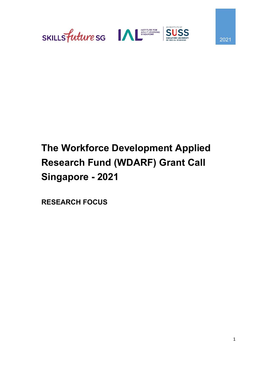



# **The Workforce Development Applied Research Fund (WDARF) Grant Call Singapore - 2021**

**RESEARCH FOCUS**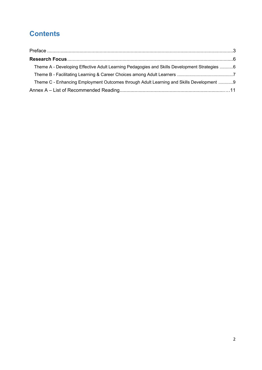# **Contents**

| Theme A - Developing Effective Adult Learning Pedagogies and Skills Development Strategies 6 |  |
|----------------------------------------------------------------------------------------------|--|
|                                                                                              |  |
| Theme C - Enhancing Employment Outcomes through Adult Learning and Skills Development 9      |  |
|                                                                                              |  |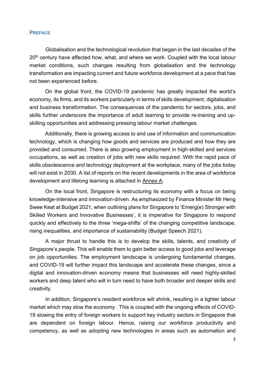#### **PREFACE**

Globalisation and the technological revolution that began in the last decades of the 20<sup>th</sup> century have affected how, what, and where we work. Coupled with the local labour market conditions, such changes resulting from globalisation and the technology transformation are impacting current and future workforce development at a pace that has not been experienced before.

On the global front, the COVID-19 pandemic has greatly impacted the world's economy, its firms, and its workers particularly in terms of skills development, digitalisation and business transformation. The consequences of the pandemic for sectors, jobs, and skills further underscore the importance of adult learning to provide re-training and upskilling opportunities and addressing pressing labour market challenges.

Additionally, there is growing access to and use of information and communication technology, which is changing how goods and services are produced and how they are provided and consumed. There is also growing employment in high-skilled and services occupations, as well as creation of jobs with new skills required. With the rapid pace of skills obsolescence and technology deployment at the workplace, many of the jobs today will not exist in 2030. A list of reports on the recent developments in the area of workforce development and lifelong learning is attached in Annex A.

On the local front, Singapore is restructuring its economy with a focus on being knowledge-intensive and innovation-driven. As emphasized by Finance Minister Mr Heng Swee Keat at Budget 2021, when outlining plans for Singapore to 'Emerg(e) Stronger with Skilled Workers and Innovative Businesses', it is imperative for Singapore to respond quickly and effectively to the three 'mega-shifts' of the changing competitive landscape, rising inequalities, and importance of sustainability (Budget Speech 2021).

A major thrust to handle this is to develop the skills, talents, and creativity of Singapore's people. This will enable them to gain better access to good jobs and leverage on job opportunities. The employment landscape is undergoing fundamental changes, and COVID-19 will further impact this landscape and accelerate these changes, since a digital and innovation-driven economy means that businesses will need highly-skilled workers and deep talent who will in turn need to have both broader and deeper skills and creativity.

In addition, Singapore's resident workforce will shrink, resulting in a tighter labour market which may slow the economy . This is coupled with the ongoing effects of COVID-19 slowing the entry of foreign workers to support key industry sectors in Singapore that are dependent on foreign labour. Hence, raising our workforce productivity and competency, as well as adopting new technologies in areas such as automation and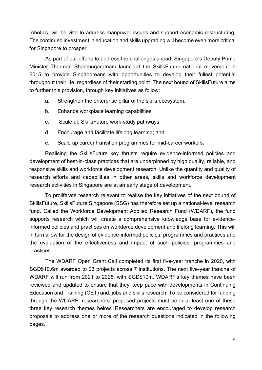robotics, will be vital to address manpower issues and support economic restructuring. The continued investment in education and skills upgrading will become even more critical for Singapore to prosper.

As part of our efforts to address the challenges ahead, Singapore's Deputy Prime Minister Tharman Shanmugaratnam launched the SkillsFuture national movement in 2015 to provide Singaporeans with opportunities to develop their fullest potential throughout their life, regardless of their starting point. The next bound of SkillsFuture aims to further this provision, through key initiatives as follow:

- a. Strengthen the enterprise pillar of the skills ecosystem;
- b. Enhance workplace learning capabilities;
- c. Scale up SkillsFuture work-study pathways;
- d. Encourage and facilitate lifelong learning; and
- e. Scale up career transition programmes for mid-career workers.

Realising the SkillsFuture key thrusts require evidence-informed policies and development of best-in-class practices that are underpinned by high quality, reliable, and responsive skills and workforce development research. Unlike the quantity and quality of research efforts and capabilities in other areas, skills and workforce development research activities in Singapore are at an early stage of development.

To proliferate research relevant to realise the key initiatives of the next bound of SkillsFuture, SkillsFuture Singapore (SSG) has therefore set up a national-level research fund. Called the Workforce Development Applied Research Fund (WDARF), the fund supports research which will create a comprehensive knowledge base for evidenceinformed policies and practices on workforce development and lifelong learning. This will in turn allow for the design of evidence-informed policies, programmes and practices and the evaluation of the effectiveness and impact of such policies, programmes and practices.

The WDARF Open Grant Call completed its first five-year tranche in 2020, with SGD\$10.6m awarded to 23 projects across 7 institutions. The next five-year tranche of WDARF will run from 2021 to 2025, with SGD\$10m. WDARF's key themes have been reviewed and updated to ensure that they keep pace with developments in Continuing Education and Training (CET) and, jobs and skills research. To be considered for funding through the WDARF, researchers' proposed projects must be in at least one of these three key research themes below. Researchers are encouraged to develop research proposals to address one or more of the research questions indicated in the following pages.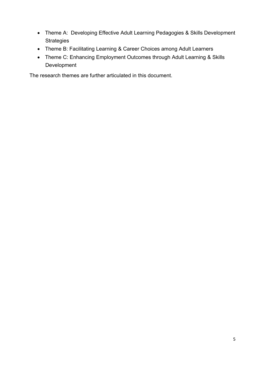- Theme A: Developing Effective Adult Learning Pedagogies & Skills Development **Strategies**
- Theme B: Facilitating Learning & Career Choices among Adult Learners
- Theme C: Enhancing Employment Outcomes through Adult Learning & Skills Development

The research themes are further articulated in this document.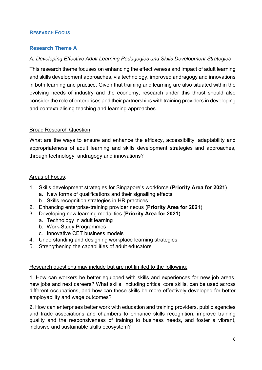# **RESEARCH FOCUS**

# **Research Theme A**

# *A: Developing Effective Adult Learning Pedagogies and Skills Development Strategies*

This research theme focuses on enhancing the effectiveness and impact of adult learning and skills development approaches, via technology, improved andragogy and innovations in both learning and practice. Given that training and learning are also situated within the evolving needs of industry and the economy, research under this thrust should also consider the role of enterprises and their partnerships with training providers in developing and contextualising teaching and learning approaches.

# Broad Research Question:

What are the ways to ensure and enhance the efficacy, accessibility, adaptability and appropriateness of adult learning and skills development strategies and approaches, through technology, andragogy and innovations?

#### Areas of Focus:

- 1. Skills development strategies for Singapore's workforce (**Priority Area for 2021**)
	- a. New forms of qualifications and their signalling effects
	- b. Skills recognition strategies in HR practices
- 2. Enhancing enterprise-training provider nexus (**Priority Area for 2021**)
- 3. Developing new learning modalities (**Priority Area for 2021**)
	- a. Technology in adult learning
	- b. Work-Study Programmes
	- c. Innovative CET business models
- 4. Understanding and designing workplace learning strategies
- 5. Strengthening the capabilities of adult educators

#### Research questions may include but are not limited to the following:

1. How can workers be better equipped with skills and experiences for new job areas, new jobs and next careers? What skills, including critical core skills, can be used across different occupations, and how can these skills be more effectively developed for better employability and wage outcomes?

2. How can enterprises better work with education and training providers, public agencies and trade associations and chambers to enhance skills recognition, improve training quality and the responsiveness of training to business needs, and foster a vibrant, inclusive and sustainable skills ecosystem?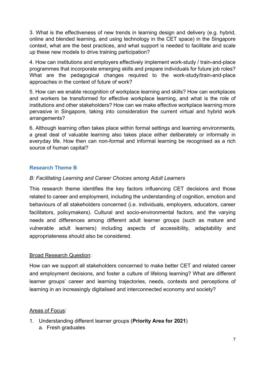3. What is the effectiveness of new trends in learning design and delivery (e.g. hybrid, online and blended learning, and using technology in the CET space) in the Singapore context, what are the best practices, and what support is needed to facilitate and scale up these new models to drive training participation?

4. How can institutions and employers effectively implement work-study / train-and-place programmes that incorporate emerging skills and prepare individuals for future job roles? What are the pedagogical changes required to the work-study/train-and-place approaches in the context of future of work?

5. How can we enable recognition of workplace learning and skills? How can workplaces and workers be transformed for effective workplace learning, and what is the role of institutions and other stakeholders? How can we make effective workplace learning more pervasive in Singapore, taking into consideration the current virtual and hybrid work arrangements?

6. Although learning often takes place within formal settings and learning environments, a great deal of valuable learning also takes place either deliberately or informally in everyday life. How then can non-formal and informal learning be recognised as a rich source of human capital?

#### **Research Theme B**

#### *B: Facilitating Learning and Career Choices among Adult Learners*

This research theme identifies the key factors influencing CET decisions and those related to career and employment, including the understanding of cognition, emotion and behaviours of all stakeholders concerned (i.e. individuals, employers, educators, career facilitators, policymakers). Cultural and socio-environmental factors, and the varying needs and differences among different adult learner groups (such as mature and vulnerable adult learners) including aspects of accessibility, adaptability and appropriateness should also be considered.

#### Broad Research Question:

How can we support all stakeholders concerned to make better CET and related career and employment decisions, and foster a culture of lifelong learning? What are different learner groups' career and learning trajectories, needs, contexts and perceptions of learning in an increasingly digitalised and interconnected economy and society?

#### Areas of Focus:

- 1. Understanding different learner groups (**Priority Area for 2021**)
	- a. Fresh graduates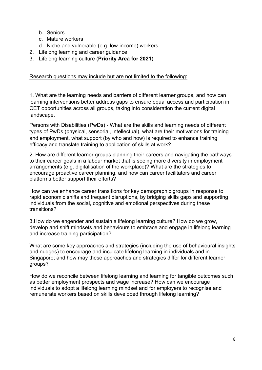- b. Seniors
- c. Mature workers
- d. Niche and vulnerable (e.g. low-income) workers
- 2. Lifelong learning and career guidance
- 3. Lifelong learning culture (**Priority Area for 2021**)

# Research questions may include but are not limited to the following:

1. What are the learning needs and barriers of different learner groups, and how can learning interventions better address gaps to ensure equal access and participation in CET opportunities across all groups, taking into consideration the current digital landscape.

Persons with Disabilities (PwDs) - What are the skills and learning needs of different types of PwDs (physical, sensorial, intellectual), what are their motivations for training and employment, what support (by who and how) is required to enhance training efficacy and translate training to application of skills at work?

2. How are different learner groups planning their careers and navigating the pathways to their career goals in a labour market that is seeing more diversity in employment arrangements (e.g. digitalisation of the workplace)? What are the strategies to encourage proactive career planning, and how can career facilitators and career platforms better support their efforts?

How can we enhance career transitions for key demographic groups in response to rapid economic shifts and frequent disruptions, by bridging skills gaps and supporting individuals from the social, cognitive and emotional perspectives during these transitions?

3.How do we engender and sustain a lifelong learning culture? How do we grow, develop and shift mindsets and behaviours to embrace and engage in lifelong learning and increase training participation?

What are some key approaches and strategies (including the use of behavioural insights and nudges) to encourage and inculcate lifelong learning in individuals and in Singapore; and how may these approaches and strategies differ for different learner groups?

How do we reconcile between lifelong learning and learning for tangible outcomes such as better employment prospects and wage increase? How can we encourage individuals to adopt a lifelong learning mindset and for employers to recognise and remunerate workers based on skills developed through lifelong learning?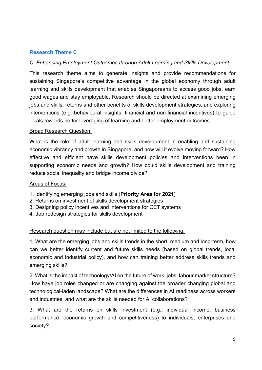# **Research Theme C**

# *C: Enhancing Employment Outcomes through Adult Learning and Skills Development*

This research theme aims to generate insights and provide recommendations for sustaining Singapore's competitive advantage in the global economy through adult learning and skills development that enables Singaporeans to access good jobs, earn good wages and stay employable. Research should be directed at examining emerging jobs and skills, returns and other benefits of skills development strategies, and exploring interventions (e.g. behavioural insights, financial and non-financial incentives) to guide locals towards better leveraging of learning and better employment outcomes.

#### Broad Research Question:

What is the role of adult learning and skills development in enabling and sustaining economic vibrancy and growth in Singapore, and how will it evolve moving forward? How effective and efficient have skills development policies and interventions been in supporting economic needs and growth? How could skills development and training reduce social inequality and bridge income divide?

#### Areas of Focus:

- 1. Identifying emerging jobs and skills (**Priority Area for 2021**)
- 2. Returns on investment of skills development strategies
- 3. Designing policy incentives and interventions for CET systems
- 4. Job redesign strategies for skills development

# Research question may include but are not limited to the following:

1. What are the emerging jobs and skills trends in the short, medium and long-term, how can we better identify current and future skills needs (based on global trends, local economic and industrial policy), and how can training better address skills trends and emerging skills?

2. What is the impact of technology/AI on the future of work, jobs, labour market structure? How have job roles changed or are changing against the broader changing global and technological-laden landscape? What are the differences in AI readiness across workers and industries, and what are the skills needed for AI collaborations?

3. What are the returns on skills investment (e.g., individual income, business performance, economic growth and competitiveness) to individuals, enterprises and society?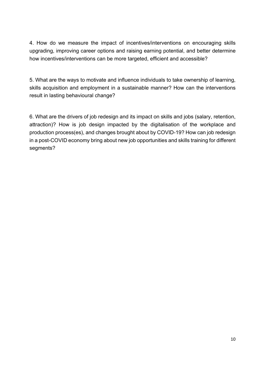4. How do we measure the impact of incentives/interventions on encouraging skills upgrading, improving career options and raising earning potential, and better determine how incentives/interventions can be more targeted, efficient and accessible?

5. What are the ways to motivate and influence individuals to take ownership of learning, skills acquisition and employment in a sustainable manner? How can the interventions result in lasting behavioural change?

6. What are the drivers of job redesign and its impact on skills and jobs (salary, retention, attraction)? How is job design impacted by the digitalisation of the workplace and production process(es), and changes brought about by COVID-19? How can job redesign in a post-COVID economy bring about new job opportunities and skills training for different segments?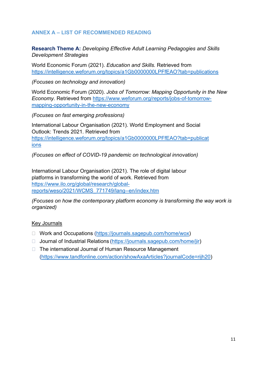# **ANNEX A – LIST OF RECOMMENDED READING**

**Research Theme A:** *Developing Effective Adult Learning Pedagogies and Skills Development Strategies*

World Economic Forum (2021). *Education and Skills.* Retrieved from <https://intelligence.weforum.org/topics/a1Gb0000000LPFfEAO?tab=publications>

*(Focuses on technology and innovation)*

World Economic Forum (2020). *Jobs of Tomorrow: Mapping Opportunity in the New Economy.* Retrieved from [https://www.weforum.org/reports/jobs-of-tomorrow](https://www.weforum.org/reports/jobs-of-tomorrow-mapping-opportunity-in-the-new-economy)[mapping-opportunity-in-the-new-economy](https://www.weforum.org/reports/jobs-of-tomorrow-mapping-opportunity-in-the-new-economy)

*(Focuses on fast emerging professions)*

International Labour Organisation (2021). World Employment and Social Outlook: Trends 2021. Retrieved from [https://intelligence.weforum.org/topics/a1Gb0000000LPFfEAO?tab=publicat](https://intelligence.weforum.org/topics/a1Gb0000000LPFfEAO?tab=publications%20) [ions](https://intelligence.weforum.org/topics/a1Gb0000000LPFfEAO?tab=publications%20)

*(Focuses on effect of COVID-19 pandemic on technological innovation)* 

International Labour Organisation (2021). The role of digital labour platforms in transforming the world of work. Retrieved from [https://www.ilo.org/global/research/global](https://www.ilo.org/global/research/global-reports/weso/2021/WCMS_771749/lang--en/index.htm)[reports/weso/2021/WCMS\\_771749/lang--en/index.htm](https://www.ilo.org/global/research/global-reports/weso/2021/WCMS_771749/lang--en/index.htm)

*(Focuses on how the contemporary platform economy is transforming the way work is organized)* 

#### Key Journals

- □ Work and Occupations [\(https://journals.sagepub.com/home/wox\)](https://journals.sagepub.com/home/wox)
- □ Journal of Industrial Relations [\(https://journals.sagepub.com/home/jir\)](https://journals.sagepub.com/home/jir)
- □ The international Journal of Human Resource Management [\(https://www.tandfonline.com/action/showAxaArticles?journalCode=rijh20\)](https://www.tandfonline.com/action/showAxaArticles?journalCode=rijh20)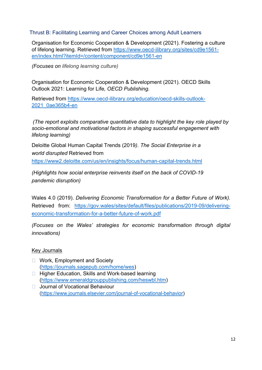#### Thrust B: Facilitating Learning and Career Choices among Adult Learners

Organisation for Economic Cooperation & Development (2021). Fostering a culture of lifelong learning. Retrieved from [https://www.oecd-ilibrary.org/sites/cd9e1561](https://www.oecd-ilibrary.org/sites/cd9e1561-en/index.html?itemId=/content/component/cd9e1561-en) [en/index.html?itemId=/content/component/cd9e1561-en](https://www.oecd-ilibrary.org/sites/cd9e1561-en/index.html?itemId=/content/component/cd9e1561-en)

*(Focuses on lifelong learning culture)*

Organisation for Economic Cooperation & Development (2021). OECD Skills Outlook 2021: Learning for Life*, OECD Publishing.*

Retrieved from [https://www.oecd-ilibrary.org/education/oecd-skills-outlook-](https://www.oecd-ilibrary.org/education/oecd-skills-outlook-2021_0ae365b4-en)[2021\\_0ae365b4-en](https://www.oecd-ilibrary.org/education/oecd-skills-outlook-2021_0ae365b4-en)

*(The report exploits comparative quantitative data to highlight the key role played by socio-emotional and motivational factors in shaping successful engagement with lifelong learning)*

Deloitte Global Human Capital Trends (2019*). The Social Enterprise in a world disrupted* Retrieved from <https://www2.deloitte.com/us/en/insights/focus/human-capital-trends.html>

*(Highlights how social enterprise reinvents itself on the back of COVID-19 pandemic disruption)*

Wales 4.0 (2019). *Delivering Economic Transformation for a Better Future of Work).*  Retrieved from: [https://gov.wales/sites/default/files/publications/2019-09/delivering](https://gov.wales/sites/default/files/publications/2019-09/delivering-economic-transformation-for-a-better-future-of-work.pdf)[economic-transformation-for-a-better-future-of-work.pdf](https://gov.wales/sites/default/files/publications/2019-09/delivering-economic-transformation-for-a-better-future-of-work.pdf)

*(Focuses on the Wales' strategies for economic transformation through digital innovations)*

# Key Journals

- □ Work, Employment and Society [\(https://journals.sagepub.com/home/wes\)](https://journals.sagepub.com/home/wes)
- □ Higher Education, Skills and Work-based learning [\(https://www.emeraldgrouppublishing.com/heswbl.htm\)](https://www.emeraldgrouppublishing.com/heswbl.htm)
- □ Journal of Vocational Behaviour [\(https://www.journals.elsevier.com/journal-of-vocational-behavior\)](https://www.journals.elsevier.com/journal-of-vocational-behavior)